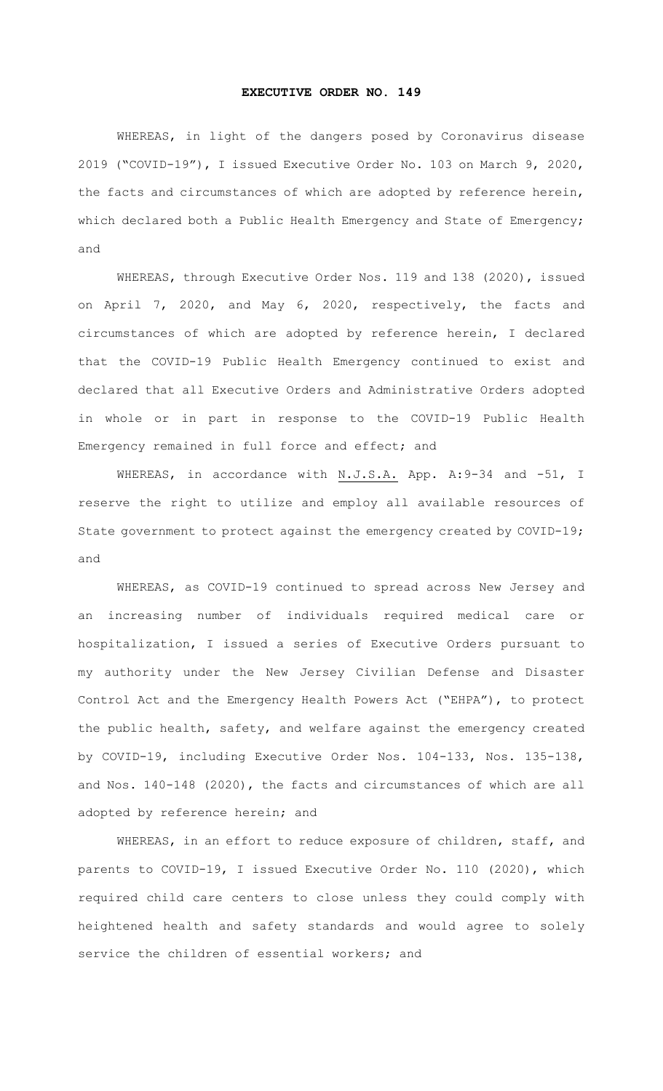## **EXECUTIVE ORDER NO. 149**

WHEREAS, in light of the dangers posed by Coronavirus disease 2019 ("COVID-19"), I issued Executive Order No. 103 on March 9, 2020, the facts and circumstances of which are adopted by reference herein, which declared both a Public Health Emergency and State of Emergency; and

WHEREAS, through Executive Order Nos. 119 and 138 (2020), issued on April 7, 2020, and May 6, 2020, respectively, the facts and circumstances of which are adopted by reference herein, I declared that the COVID-19 Public Health Emergency continued to exist and declared that all Executive Orders and Administrative Orders adopted in whole or in part in response to the COVID-19 Public Health Emergency remained in full force and effect; and

WHEREAS, in accordance with N.J.S.A. App. A:9-34 and -51, I reserve the right to utilize and employ all available resources of State government to protect against the emergency created by COVID-19; and

WHEREAS, as COVID-19 continued to spread across New Jersey and an increasing number of individuals required medical care or hospitalization, I issued a series of Executive Orders pursuant to my authority under the New Jersey Civilian Defense and Disaster Control Act and the Emergency Health Powers Act ("EHPA"), to protect the public health, safety, and welfare against the emergency created by COVID-19, including Executive Order Nos. 104-133, Nos. 135-138, and Nos. 140-148 (2020), the facts and circumstances of which are all adopted by reference herein; and

WHEREAS, in an effort to reduce exposure of children, staff, and parents to COVID-19, I issued Executive Order No. 110 (2020), which required child care centers to close unless they could comply with heightened health and safety standards and would agree to solely service the children of essential workers; and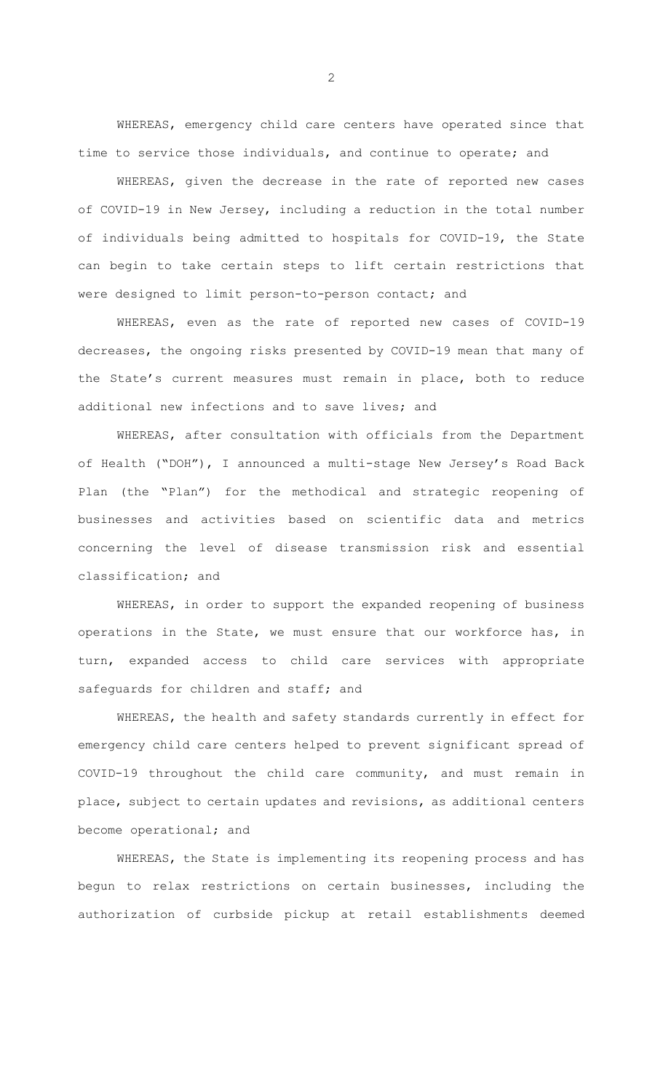WHEREAS, emergency child care centers have operated since that time to service those individuals, and continue to operate; and

WHEREAS, given the decrease in the rate of reported new cases of COVID-19 in New Jersey, including a reduction in the total number of individuals being admitted to hospitals for COVID-19, the State can begin to take certain steps to lift certain restrictions that were designed to limit person-to-person contact; and

WHEREAS, even as the rate of reported new cases of COVID-19 decreases, the ongoing risks presented by COVID-19 mean that many of the State's current measures must remain in place, both to reduce additional new infections and to save lives; and

WHEREAS, after consultation with officials from the Department of Health ("DOH"), I announced a multi-stage New Jersey's Road Back Plan (the "Plan") for the methodical and strategic reopening of businesses and activities based on scientific data and metrics concerning the level of disease transmission risk and essential classification; and

WHEREAS, in order to support the expanded reopening of business operations in the State, we must ensure that our workforce has, in turn, expanded access to child care services with appropriate safequards for children and staff; and

WHEREAS, the health and safety standards currently in effect for emergency child care centers helped to prevent significant spread of COVID-19 throughout the child care community, and must remain in place, subject to certain updates and revisions, as additional centers become operational; and

WHEREAS, the State is implementing its reopening process and has begun to relax restrictions on certain businesses, including the authorization of curbside pickup at retail establishments deemed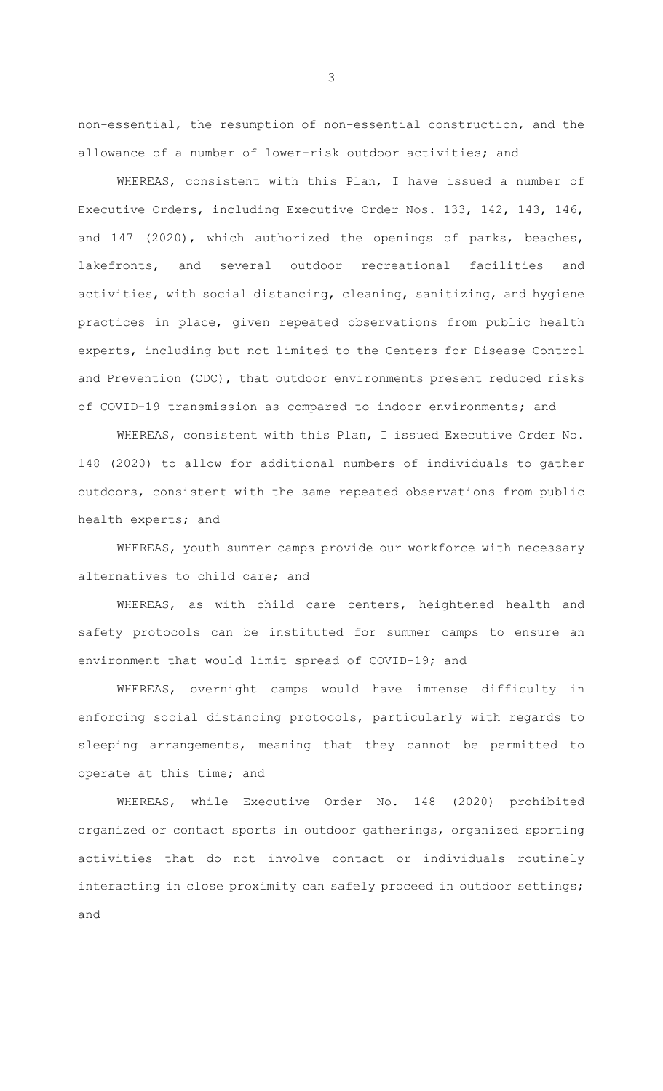non-essential, the resumption of non-essential construction, and the allowance of a number of lower-risk outdoor activities; and

WHEREAS, consistent with this Plan, I have issued a number of Executive Orders, including Executive Order Nos. 133, 142, 143, 146, and 147 (2020), which authorized the openings of parks, beaches, lakefronts, and several outdoor recreational facilities and activities, with social distancing, cleaning, sanitizing, and hygiene practices in place, given repeated observations from public health experts, including but not limited to the Centers for Disease Control and Prevention (CDC), that outdoor environments present reduced risks of COVID-19 transmission as compared to indoor environments; and

WHEREAS, consistent with this Plan, I issued Executive Order No. 148 (2020) to allow for additional numbers of individuals to gather outdoors, consistent with the same repeated observations from public health experts; and

WHEREAS, youth summer camps provide our workforce with necessary alternatives to child care; and

WHEREAS, as with child care centers, heightened health and safety protocols can be instituted for summer camps to ensure an environment that would limit spread of COVID-19; and

WHEREAS, overnight camps would have immense difficulty in enforcing social distancing protocols, particularly with regards to sleeping arrangements, meaning that they cannot be permitted to operate at this time; and

WHEREAS, while Executive Order No. 148 (2020) prohibited organized or contact sports in outdoor gatherings, organized sporting activities that do not involve contact or individuals routinely interacting in close proximity can safely proceed in outdoor settings; and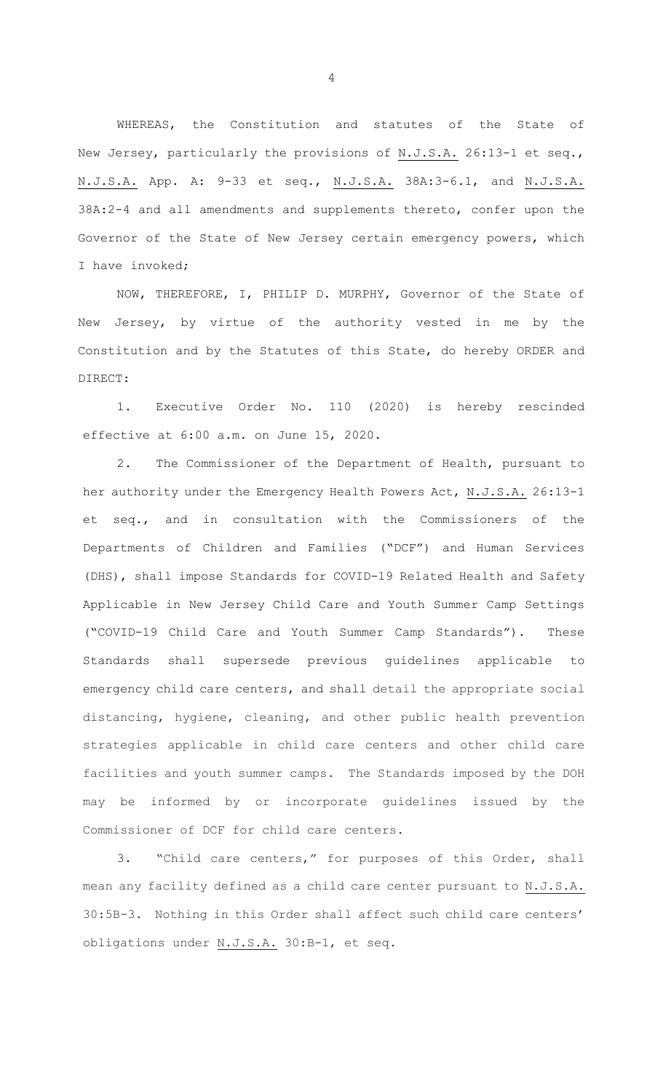WHEREAS, the Constitution and statutes of the State of New Jersey, particularly the provisions of N.J.S.A. 26:13-1 et seq., N.J.S.A. App. A: 9-33 et seq., N.J.S.A. 38A:3-6.1, and N.J.S.A. 38A:2-4 and all amendments and supplements thereto, confer upon the Governor of the State of New Jersey certain emergency powers, which I have invoked;

NOW, THEREFORE, I, PHILIP D. MURPHY, Governor of the State of New Jersey, by virtue of the authority vested in me by the Constitution and by the Statutes of this State, do hereby ORDER and DIRECT:

1. Executive Order No. 110 (2020) is hereby rescinded effective at 6:00 a.m. on June 15, 2020.

2. The Commissioner of the Department of Health, pursuant to her authority under the Emergency Health Powers Act, N.J.S.A. 26:13-1 et seq., and in consultation with the Commissioners of the Departments of Children and Families ("DCF") and Human Services (DHS), shall impose Standards for COVID-19 Related Health and Safety Applicable in New Jersey Child Care and Youth Summer Camp Settings ("COVID-19 Child Care and Youth Summer Camp Standards"). These Standards shall supersede previous guidelines applicable to emergency child care centers, and shall detail the appropriate social distancing, hygiene, cleaning, and other public health prevention strategies applicable in child care centers and other child care facilities and youth summer camps. The Standards imposed by the DOH may be informed by or incorporate guidelines issued by the Commissioner of DCF for child care centers.

3. "Child care centers," for purposes of this Order, shall mean any facility defined as a child care center pursuant to N.J.S.A. 30:5B-3. Nothing in this Order shall affect such child care centers' obligations under N.J.S.A. 30:B-1, et seq.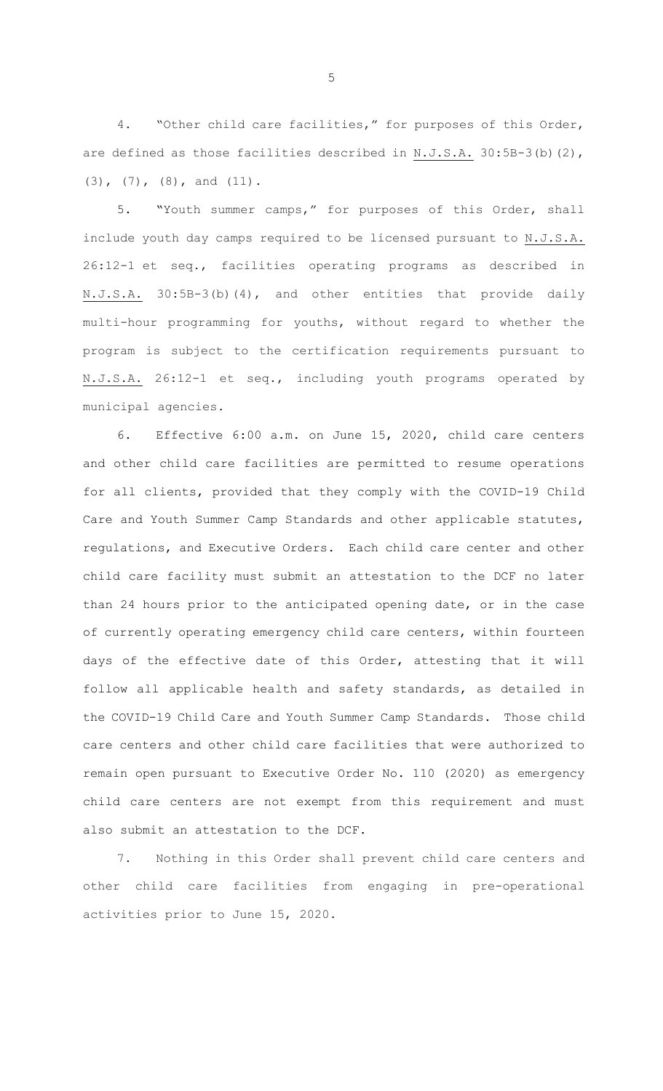4. "Other child care facilities," for purposes of this Order, are defined as those facilities described in N.J.S.A. 30:5B-3(b)(2), (3), (7), (8), and (11).

5. "Youth summer camps," for purposes of this Order, shall include youth day camps required to be licensed pursuant to N.J.S.A. 26:12-1 et seq., facilities operating programs as described in N.J.S.A. 30:5B-3(b)(4), and other entities that provide daily multi-hour programming for youths, without regard to whether the program is subject to the certification requirements pursuant to N.J.S.A. 26:12-1 et seq., including youth programs operated by municipal agencies.

6. Effective 6:00 a.m. on June 15, 2020, child care centers and other child care facilities are permitted to resume operations for all clients, provided that they comply with the COVID-19 Child Care and Youth Summer Camp Standards and other applicable statutes, regulations, and Executive Orders. Each child care center and other child care facility must submit an attestation to the DCF no later than 24 hours prior to the anticipated opening date, or in the case of currently operating emergency child care centers, within fourteen days of the effective date of this Order, attesting that it will follow all applicable health and safety standards, as detailed in the COVID-19 Child Care and Youth Summer Camp Standards. Those child care centers and other child care facilities that were authorized to remain open pursuant to Executive Order No. 110 (2020) as emergency child care centers are not exempt from this requirement and must also submit an attestation to the DCF.

7. Nothing in this Order shall prevent child care centers and other child care facilities from engaging in pre-operational activities prior to June 15, 2020.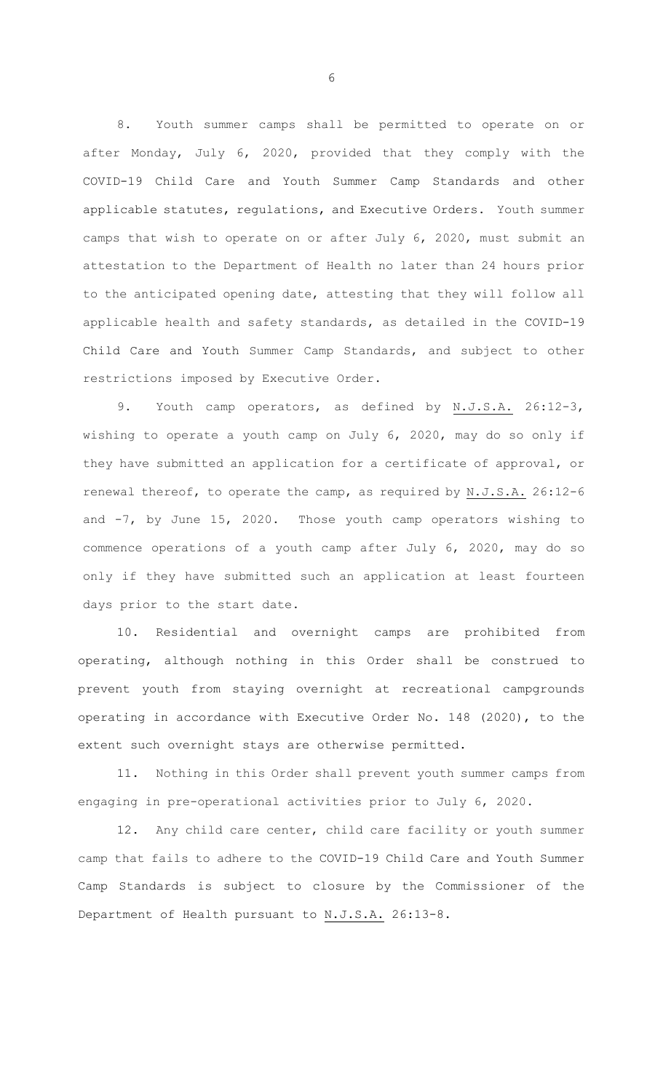8. Youth summer camps shall be permitted to operate on or after Monday, July 6, 2020, provided that they comply with the COVID-19 Child Care and Youth Summer Camp Standards and other applicable statutes, regulations, and Executive Orders. Youth summer camps that wish to operate on or after July 6, 2020, must submit an attestation to the Department of Health no later than 24 hours prior to the anticipated opening date, attesting that they will follow all applicable health and safety standards, as detailed in the COVID-19 Child Care and Youth Summer Camp Standards, and subject to other restrictions imposed by Executive Order.

9. Youth camp operators, as defined by N.J.S.A. 26:12-3, wishing to operate a youth camp on July 6, 2020, may do so only if they have submitted an application for a certificate of approval, or renewal thereof, to operate the camp, as required by N.J.S.A. 26:12-6 and  $-7$ , by June 15, 2020. Those youth camp operators wishing to commence operations of a youth camp after July 6, 2020, may do so only if they have submitted such an application at least fourteen days prior to the start date.

10. Residential and overnight camps are prohibited from operating, although nothing in this Order shall be construed to prevent youth from staying overnight at recreational campgrounds operating in accordance with Executive Order No. 148 (2020), to the extent such overnight stays are otherwise permitted.

11. Nothing in this Order shall prevent youth summer camps from engaging in pre-operational activities prior to July 6, 2020.

12. Any child care center, child care facility or youth summer camp that fails to adhere to the COVID-19 Child Care and Youth Summer Camp Standards is subject to closure by the Commissioner of the Department of Health pursuant to N.J.S.A. 26:13-8.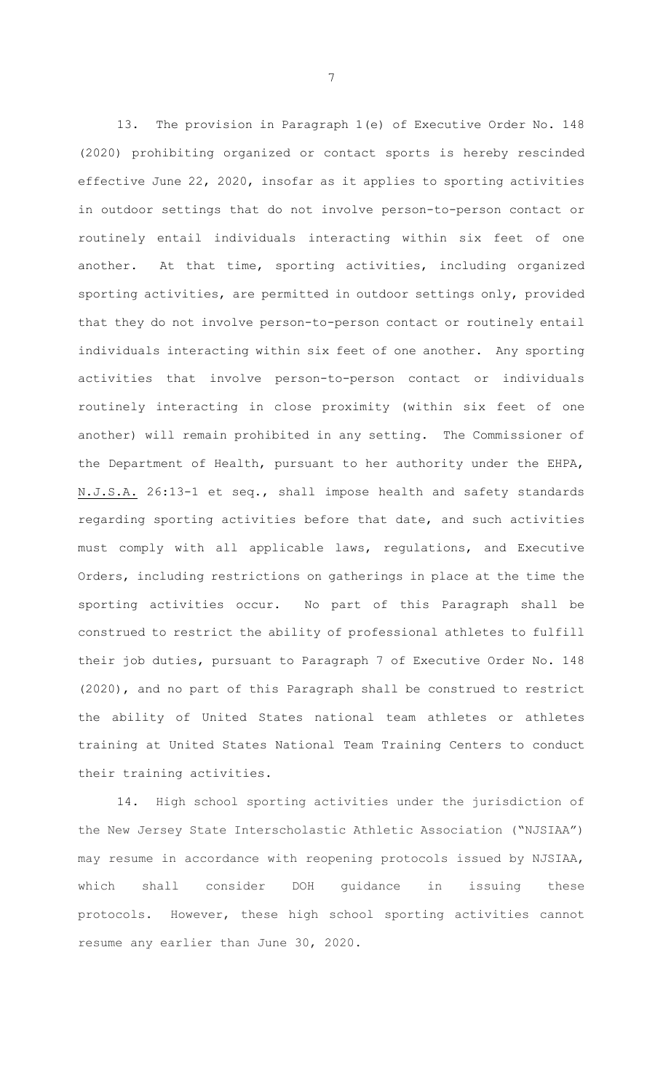13. The provision in Paragraph 1(e) of Executive Order No. 148 (2020) prohibiting organized or contact sports is hereby rescinded effective June 22, 2020, insofar as it applies to sporting activities in outdoor settings that do not involve person-to-person contact or routinely entail individuals interacting within six feet of one another. At that time, sporting activities, including organized sporting activities, are permitted in outdoor settings only, provided that they do not involve person-to-person contact or routinely entail individuals interacting within six feet of one another. Any sporting activities that involve person-to-person contact or individuals routinely interacting in close proximity (within six feet of one another) will remain prohibited in any setting. The Commissioner of the Department of Health, pursuant to her authority under the EHPA, N.J.S.A. 26:13-1 et seq., shall impose health and safety standards regarding sporting activities before that date, and such activities must comply with all applicable laws, regulations, and Executive Orders, including restrictions on gatherings in place at the time the sporting activities occur. No part of this Paragraph shall be construed to restrict the ability of professional athletes to fulfill their job duties, pursuant to Paragraph 7 of Executive Order No. 148 (2020), and no part of this Paragraph shall be construed to restrict the ability of United States national team athletes or athletes training at United States National Team Training Centers to conduct their training activities.

14. High school sporting activities under the jurisdiction of the New Jersey State Interscholastic Athletic Association ("NJSIAA") may resume in accordance with reopening protocols issued by NJSIAA, which shall consider DOH guidance in issuing these protocols. However, these high school sporting activities cannot resume any earlier than June 30, 2020.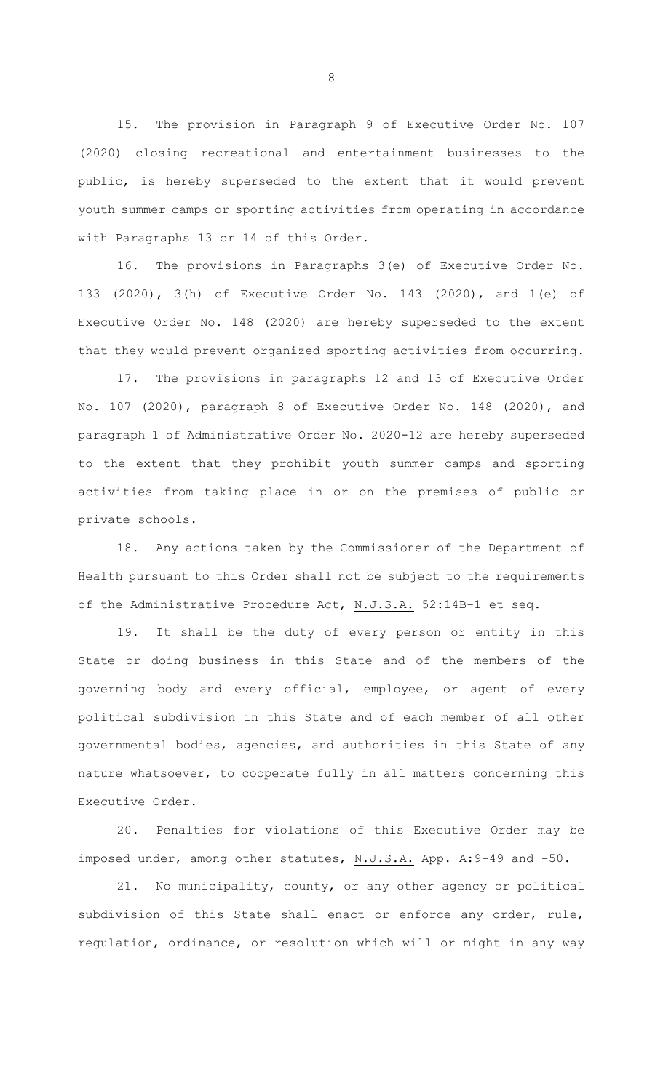15. The provision in Paragraph 9 of Executive Order No. 107 (2020) closing recreational and entertainment businesses to the public, is hereby superseded to the extent that it would prevent youth summer camps or sporting activities from operating in accordance with Paragraphs 13 or 14 of this Order.

16. The provisions in Paragraphs 3(e) of Executive Order No. 133 (2020), 3(h) of Executive Order No. 143 (2020), and 1(e) of Executive Order No. 148 (2020) are hereby superseded to the extent that they would prevent organized sporting activities from occurring.

17. The provisions in paragraphs 12 and 13 of Executive Order No. 107 (2020), paragraph 8 of Executive Order No. 148 (2020), and paragraph 1 of Administrative Order No. 2020-12 are hereby superseded to the extent that they prohibit youth summer camps and sporting activities from taking place in or on the premises of public or private schools.

18. Any actions taken by the Commissioner of the Department of Health pursuant to this Order shall not be subject to the requirements of the Administrative Procedure Act, N.J.S.A. 52:14B-1 et seq.

19. It shall be the duty of every person or entity in this State or doing business in this State and of the members of the governing body and every official, employee, or agent of every political subdivision in this State and of each member of all other governmental bodies, agencies, and authorities in this State of any nature whatsoever, to cooperate fully in all matters concerning this Executive Order.

20. Penalties for violations of this Executive Order may be imposed under, among other statutes, N.J.S.A. App. A:9-49 and -50.

21. No municipality, county, or any other agency or political subdivision of this State shall enact or enforce any order, rule, regulation, ordinance, or resolution which will or might in any way